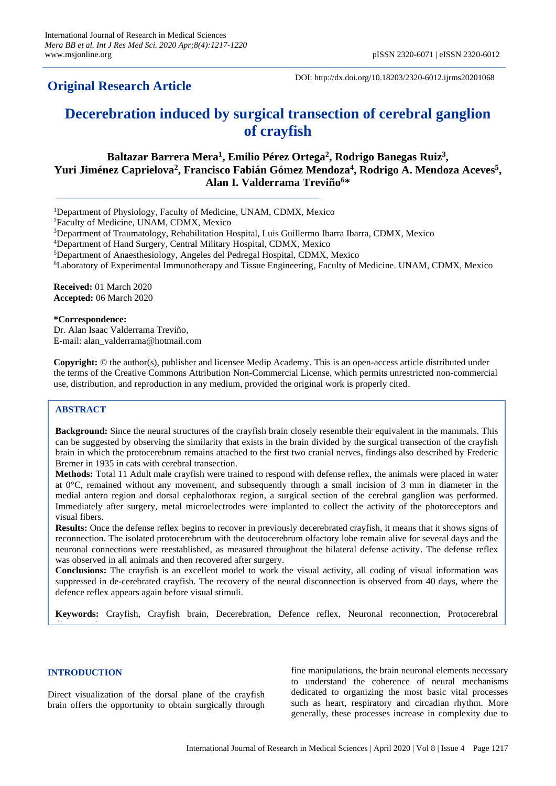## **Original Research Article**

DOI: http://dx.doi.org/10.18203/2320-6012.ijrms20201068

# **Decerebration induced by surgical transection of cerebral ganglion of crayfish**

**Baltazar Barrera Mera<sup>1</sup> , Emilio Pérez Ortega<sup>2</sup> , Rodrigo Banegas Ruiz<sup>3</sup> , Yuri Jiménez Caprielova<sup>2</sup> , Francisco Fabián Gómez Mendoza<sup>4</sup> , Rodrigo A. Mendoza Aceves<sup>5</sup> , Alan I. Valderrama Treviño<sup>6</sup>\***

<sup>1</sup>Department of Physiology, Faculty of Medicine, UNAM, CDMX, Mexico

<sup>2</sup>Faculty of Medicine, UNAM, CDMX, Mexico

 $3$ Department of Traumatology, Rehabilitation Hospital, Luis Guillermo Ibarra Ibarra, CDMX, Mexico

<sup>4</sup>Department of Hand Surgery, Central Military Hospital, CDMX, Mexico

<sup>5</sup>Department of Anaesthesiology, Angeles del Pedregal Hospital, CDMX, Mexico

<sup>6</sup>Laboratory of Experimental Immunotherapy and Tissue Engineering, Faculty of Medicine. UNAM, CDMX, Mexico

**Received:** 01 March 2020 **Accepted:** 06 March 2020

**\*Correspondence:**

Dr. Alan Isaac Valderrama Treviño, E-mail: alan\_valderrama@hotmail.com

**Copyright:** © the author(s), publisher and licensee Medip Academy. This is an open-access article distributed under the terms of the Creative Commons Attribution Non-Commercial License, which permits unrestricted non-commercial use, distribution, and reproduction in any medium, provided the original work is properly cited.

## **ABSTRACT**

**Background:** Since the neural structures of the crayfish brain closely resemble their equivalent in the mammals. This can be suggested by observing the similarity that exists in the brain divided by the surgical transection of the crayfish brain in which the protocerebrum remains attached to the first two cranial nerves, findings also described by Frederic Bremer in 1935 in cats with cerebral transection.

**Methods:** Total 11 Adult male crayfish were trained to respond with defense reflex, the animals were placed in water at  $0^{\circ}$ C, remained without any movement, and subsequently through a small incision of 3 mm in diameter in the medial antero region and dorsal cephalothorax region, a surgical section of the cerebral ganglion was performed. Immediately after surgery, metal microelectrodes were implanted to collect the activity of the photoreceptors and visual fibers.

**Results:** Once the defense reflex begins to recover in previously decerebrated crayfish, it means that it shows signs of reconnection. The isolated protocerebrum with the deutocerebrum olfactory lobe remain alive for several days and the neuronal connections were reestablished, as measured throughout the bilateral defense activity. The defense reflex was observed in all animals and then recovered after surgery.

**Conclusions:** The crayfish is an excellent model to work the visual activity, all coding of visual information was suppressed in de-cerebrated crayfish. The recovery of the neural disconnection is observed from 40 days, where the defence reflex appears again before visual stimuli.

**Keywords:** Crayfish, Crayfish brain, Decerebration, Defence reflex, Neuronal reconnection, Protocerebral

## **INTRODUCTION**

disconnection in the connection of the connection of the connection of the connection of the connection of the<br>Connection of the connection of the connection of the connection of the connection of the connection of the co

Direct visualization of the dorsal plane of the crayfish brain offers the opportunity to obtain surgically through fine manipulations, the brain neuronal elements necessary to understand the coherence of neural mechanisms dedicated to organizing the most basic vital processes such as heart, respiratory and circadian rhythm. More generally, these processes increase in complexity due to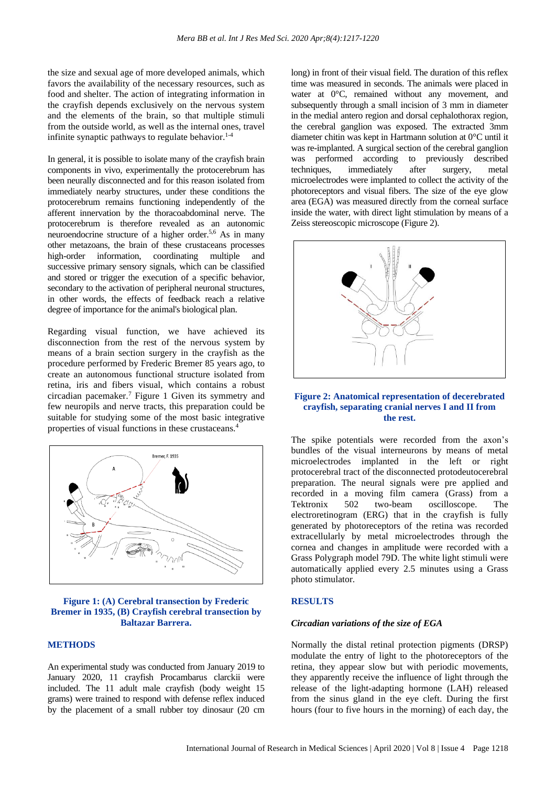the size and sexual age of more developed animals, which favors the availability of the necessary resources, such as food and shelter. The action of integrating information in the crayfish depends exclusively on the nervous system and the elements of the brain, so that multiple stimuli from the outside world, as well as the internal ones, travel infinite synaptic pathways to regulate behavior.<sup>1-4</sup>

In general, it is possible to isolate many of the crayfish brain components in vivo, experimentally the protocerebrum has been neurally disconnected and for this reason isolated from immediately nearby structures, under these conditions the protocerebrum remains functioning independently of the afferent innervation by the thoracoabdominal nerve. The protocerebrum is therefore revealed as an autonomic neuroendocrine structure of a higher order.<sup>5,6</sup> As in many other metazoans, the brain of these crustaceans processes high-order information, coordinating multiple and successive primary sensory signals, which can be classified and stored or trigger the execution of a specific behavior, secondary to the activation of peripheral neuronal structures, in other words, the effects of feedback reach a relative degree of importance for the animal's biological plan.

Regarding visual function, we have achieved its disconnection from the rest of the nervous system by means of a brain section surgery in the crayfish as the procedure performed by Frederic Bremer 85 years ago, to create an autonomous functional structure isolated from retina, iris and fibers visual, which contains a robust circadian pacemaker.<sup>7</sup> Figure 1 Given its symmetry and few neuropils and nerve tracts, this preparation could be suitable for studying some of the most basic integrative properties of visual functions in these crustaceans.<sup>4</sup>



#### **Figure 1: (A) Cerebral transection by Frederic Bremer in 1935, (B) Crayfish cerebral transection by Baltazar Barrera.**

#### **METHODS**

An experimental study was conducted from January 2019 to January 2020, 11 crayfish Procambarus clarckii were included. The 11 adult male crayfish (body weight 15 grams) were trained to respond with defense reflex induced by the placement of a small rubber toy dinosaur (20 cm long) in front of their visual field. The duration of this reflex time was measured in seconds. The animals were placed in water at  $0^{\circ}$ C, remained without any movement, and subsequently through a small incision of 3 mm in diameter in the medial antero region and dorsal cephalothorax region, the cerebral ganglion was exposed. The extracted 3mm diameter chitin was kept in Hartmann solution at 0°C until it was re-implanted. A surgical section of the cerebral ganglion was performed according to previously described techniques, immediately after surgery, metal microelectrodes were implanted to collect the activity of the photoreceptors and visual fibers. The size of the eye glow area (EGA) was measured directly from the corneal surface inside the water, with direct light stimulation by means of a Zeiss stereoscopic microscope (Figure 2).



### **Figure 2: Anatomical representation of decerebrated crayfish, separating cranial nerves I and II from the rest.**

The spike potentials were recorded from the axon's bundles of the visual interneurons by means of metal microelectrodes implanted in the left or right protocerebral tract of the disconnected protodeutocerebral preparation. The neural signals were pre applied and recorded in a moving film camera (Grass) from a Tektronix 502 two-beam oscilloscope. The electroretinogram (ERG) that in the crayfish is fully generated by photoreceptors of the retina was recorded extracellularly by metal microelectrodes through the cornea and changes in amplitude were recorded with a Grass Polygraph model 79D. The white light stimuli were automatically applied every 2.5 minutes using a Grass photo stimulator.

#### **RESULTS**

#### *Circadian variations of the size of EGA*

Normally the distal retinal protection pigments (DRSP) modulate the entry of light to the photoreceptors of the retina, they appear slow but with periodic movements, they apparently receive the influence of light through the release of the light-adapting hormone (LAH) released from the sinus gland in the eye cleft. During the first hours (four to five hours in the morning) of each day, the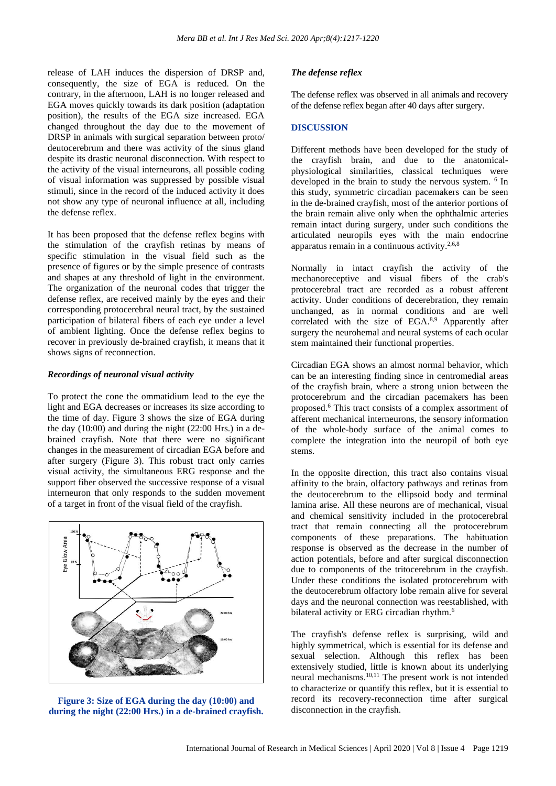release of LAH induces the dispersion of DRSP and, consequently, the size of EGA is reduced. On the contrary, in the afternoon, LAH is no longer released and EGA moves quickly towards its dark position (adaptation position), the results of the EGA size increased. EGA changed throughout the day due to the movement of DRSP in animals with surgical separation between proto/ deutocerebrum and there was activity of the sinus gland despite its drastic neuronal disconnection. With respect to the activity of the visual interneurons, all possible coding of visual information was suppressed by possible visual stimuli, since in the record of the induced activity it does not show any type of neuronal influence at all, including the defense reflex.

It has been proposed that the defense reflex begins with the stimulation of the crayfish retinas by means of specific stimulation in the visual field such as the presence of figures or by the simple presence of contrasts and shapes at any threshold of light in the environment. The organization of the neuronal codes that trigger the defense reflex, are received mainly by the eyes and their corresponding protocerebral neural tract, by the sustained participation of bilateral fibers of each eye under a level of ambient lighting. Once the defense reflex begins to recover in previously de-brained crayfish, it means that it shows signs of reconnection.

#### *Recordings of neuronal visual activity*

To protect the cone the ommatidium lead to the eye the light and EGA decreases or increases its size according to the time of day. Figure 3 shows the size of EGA during the day (10:00) and during the night (22:00 Hrs.) in a debrained crayfish. Note that there were no significant changes in the measurement of circadian EGA before and after surgery (Figure 3). This robust tract only carries visual activity, the simultaneous ERG response and the support fiber observed the successive response of a visual interneuron that only responds to the sudden movement of a target in front of the visual field of the crayfish.



**Figure 3: Size of EGA during the day (10:00) and during the night (22:00 Hrs.) in a de-brained crayfish.**

#### *The defense reflex*

The defense reflex was observed in all animals and recovery of the defense reflex began after 40 days after surgery.

#### **DISCUSSION**

Different methods have been developed for the study of the crayfish brain, and due to the anatomicalphysiological similarities, classical techniques were developed in the brain to study the nervous system. <sup>6</sup> In this study, symmetric circadian pacemakers can be seen in the de-brained crayfish, most of the anterior portions of the brain remain alive only when the ophthalmic arteries remain intact during surgery, under such conditions the articulated neuropils eyes with the main endocrine apparatus remain in a continuous activity.2,6,8

Normally in intact crayfish the activity of the mechanoreceptive and visual fibers of the crab's protocerebral tract are recorded as a robust afferent activity. Under conditions of decerebration, they remain unchanged, as in normal conditions and are well correlated with the size of EGA.<sup>8,9</sup> Apparently after surgery the neurohemal and neural systems of each ocular stem maintained their functional properties.

Circadian EGA shows an almost normal behavior, which can be an interesting finding since in centromedial areas of the crayfish brain, where a strong union between the protocerebrum and the circadian pacemakers has been proposed.<sup>6</sup> This tract consists of a complex assortment of afferent mechanical interneurons, the sensory information of the whole-body surface of the animal comes to complete the integration into the neuropil of both eye stems.

In the opposite direction, this tract also contains visual affinity to the brain, olfactory pathways and retinas from the deutocerebrum to the ellipsoid body and terminal lamina arise. All these neurons are of mechanical, visual and chemical sensitivity included in the protocerebral tract that remain connecting all the protocerebrum components of these preparations. The habituation response is observed as the decrease in the number of action potentials, before and after surgical disconnection due to components of the tritocerebrum in the crayfish. Under these conditions the isolated protocerebrum with the deutocerebrum olfactory lobe remain alive for several days and the neuronal connection was reestablished, with bilateral activity or ERG circadian rhythm.<sup>6</sup>

The crayfish's defense reflex is surprising, wild and highly symmetrical, which is essential for its defense and sexual selection. Although this reflex has been extensively studied, little is known about its underlying neural mechanisms.10,11 The present work is not intended to characterize or quantify this reflex, but it is essential to record its recovery-reconnection time after surgical disconnection in the crayfish.